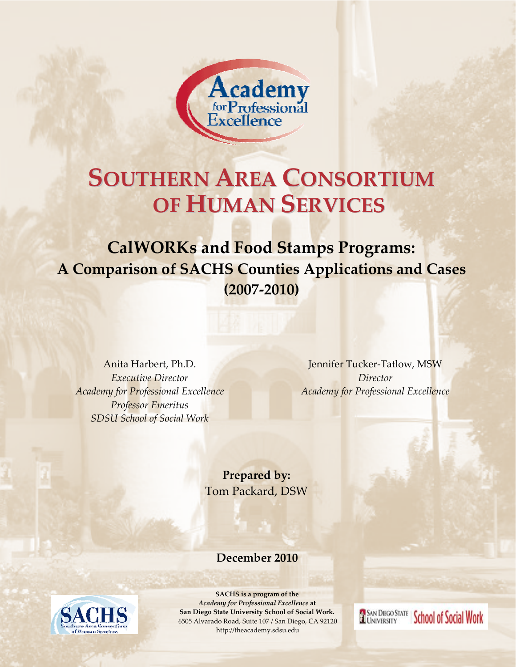

# **OF HUMAN SERVICES SOUTHERN AREA CONSORTIUM**

**CalWORKs and Food Stamps Programs: A Comparison of SACHS Counties Applications and Cases (2007‐2010)**

Anita Harbert, Ph.D. *Executive Director Academy for Professional Excellence Professor Emeritus SDSU School of Social Work*

Jennifer Tucker-Tatlow, MSW *Director Academy for Professional Excellence*

**Prepared by:** Tom Packard, DSW

# **December 2010**



6505 Alvarado Road, Suite 107 / San Diego, CA 92120 **1 UNIVERSITY 30000 01 300 SACHS is a program of the** *Academy for Professional Excellence* **at San Diego State University School of Social Work.** http://theacademy.sdsu.edu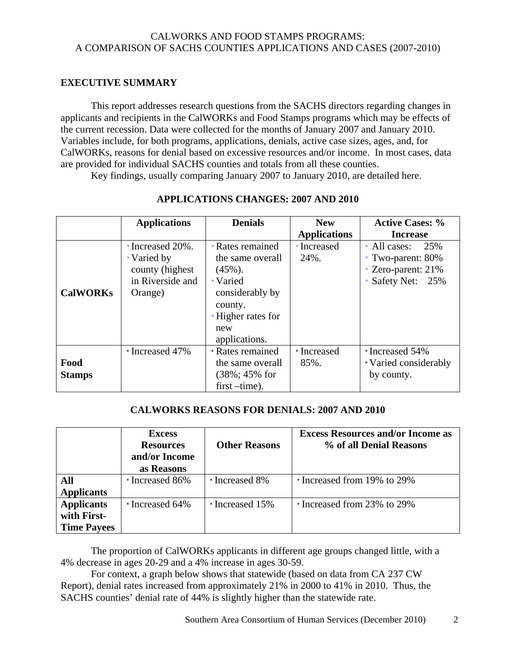# **EXECUTIVE SUMMARY**

 This report addresses research questions from the SACHS directors regarding changes in applicants and recipients in the CalWORKs and Food Stamps programs which may be effects of the current recession. Data were collected for the months of January 2007 and January 2010. Variables include, for both programs, applications, denials, active case sizes, ages, and, for CalWORKs, reasons for denial based on excessive resources and/or income. In most cases, data are provided for individual SACHS counties and totals from all these counties.

Key findings, usually comparing January 2007 to January 2010, are detailed here.

|                            | <b>Applications</b>          | <b>Denials</b><br><b>New</b> |                     | <b>Active Cases: %</b> |
|----------------------------|------------------------------|------------------------------|---------------------|------------------------|
|                            |                              |                              | <b>Applications</b> | <b>Increase</b>        |
|                            | * Increased 20%.             | * Rates remained             | * Increased         | * All cases:<br>25%    |
|                            | * Varied by                  | the same overall             | 24%.                | $*$ Two-parent: 80%    |
| county (highest)           |                              | $(45\%)$ .                   |                     | $*$ Zero-parent: 21%   |
|                            | in Riverside and<br>* Varied |                              |                     | * Safety Net: 25%      |
| <b>CalWORKs</b><br>Orange) |                              | considerably by              |                     |                        |
|                            |                              | county.                      |                     |                        |
|                            |                              | * Higher rates for           |                     |                        |
|                            |                              | new                          |                     |                        |
|                            |                              | applications.                |                     |                        |
|                            | * Increased 47%              | * Rates remained             | * Increased         | *Increased 54%         |
| Food                       |                              | the same overall             | 85%.                | *Varied considerably   |
| <b>Stamps</b>              |                              | $(38\%; 45\% \text{ for }$   |                     | by county.             |
|                            |                              | $first-time$ ).              |                     |                        |

## **APPLICATIONS CHANGES: 2007 AND 2010**

## **CALWORKS REASONS FOR DENIALS: 2007 AND 2010**

|                    | <b>Excess</b><br><b>Resources</b><br>and/or Income<br>as Reasons | <b>Other Reasons</b> | <b>Excess Resources and/or Income as</b><br>% of all Denial Reasons |
|--------------------|------------------------------------------------------------------|----------------------|---------------------------------------------------------------------|
| All                | * Increased 86%                                                  | * Increased 8%       | * Increased from 19% to 29%                                         |
| <b>Applicants</b>  |                                                                  |                      |                                                                     |
| <b>Applicants</b>  | * Increased 64%                                                  | * Increased 15%      | $\cdot$ Increased from 23% to 29%                                   |
| with First-        |                                                                  |                      |                                                                     |
| <b>Time Payees</b> |                                                                  |                      |                                                                     |

The proportion of CalWORKs applicants in different age groups changed little, with a 4% decrease in ages 20-29 and a 4% increase in ages 30-59.

 For context, a graph below shows that statewide (based on data from CA 237 CW Report), denial rates increased from approximately 21% in 2000 to 41% in 2010. Thus, the SACHS counties' denial rate of 44% is slightly higher than the statewide rate.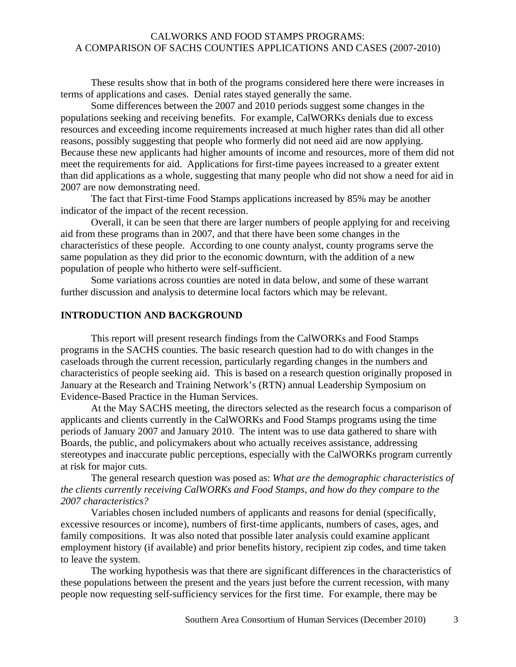These results show that in both of the programs considered here there were increases in terms of applications and cases. Denial rates stayed generally the same.

Some differences between the 2007 and 2010 periods suggest some changes in the populations seeking and receiving benefits. For example, CalWORKs denials due to excess resources and exceeding income requirements increased at much higher rates than did all other reasons, possibly suggesting that people who formerly did not need aid are now applying. Because these new applicants had higher amounts of income and resources, more of them did not meet the requirements for aid. Applications for first-time payees increased to a greater extent than did applications as a whole, suggesting that many people who did not show a need for aid in 2007 are now demonstrating need.

The fact that First-time Food Stamps applications increased by 85% may be another indicator of the impact of the recent recession.

Overall, it can be seen that there are larger numbers of people applying for and receiving aid from these programs than in 2007, and that there have been some changes in the characteristics of these people. According to one county analyst, county programs serve the same population as they did prior to the economic downturn, with the addition of a new population of people who hitherto were self-sufficient.

 Some variations across counties are noted in data below, and some of these warrant further discussion and analysis to determine local factors which may be relevant.

## **INTRODUCTION AND BACKGROUND**

This report will present research findings from the CalWORKs and Food Stamps programs in the SACHS counties. The basic research question had to do with changes in the caseloads through the current recession, particularly regarding changes in the numbers and characteristics of people seeking aid. This is based on a research question originally proposed in January at the Research and Training Network's (RTN) annual Leadership Symposium on Evidence-Based Practice in the Human Services.

At the May SACHS meeting, the directors selected as the research focus a comparison of applicants and clients currently in the CalWORKs and Food Stamps programs using the time periods of January 2007 and January 2010. The intent was to use data gathered to share with Boards, the public, and policymakers about who actually receives assistance, addressing stereotypes and inaccurate public perceptions, especially with the CalWORKs program currently at risk for major cuts.

The general research question was posed as: *What are the demographic characteristics of the clients currently receiving CalWORKs and Food Stamps, and how do they compare to the 2007 characteristics?*

Variables chosen included numbers of applicants and reasons for denial (specifically, excessive resources or income), numbers of first-time applicants, numbers of cases, ages, and family compositions. It was also noted that possible later analysis could examine applicant employment history (if available) and prior benefits history, recipient zip codes, and time taken to leave the system.

The working hypothesis was that there are significant differences in the characteristics of these populations between the present and the years just before the current recession, with many people now requesting self-sufficiency services for the first time. For example, there may be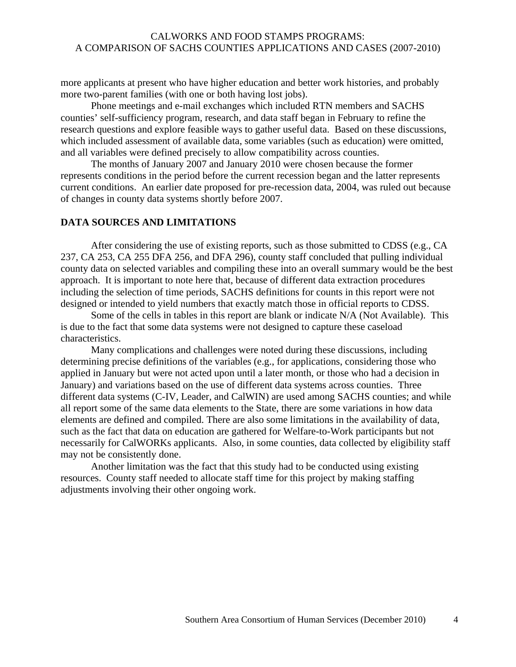more applicants at present who have higher education and better work histories, and probably more two-parent families (with one or both having lost jobs).

Phone meetings and e-mail exchanges which included RTN members and SACHS counties' self-sufficiency program, research, and data staff began in February to refine the research questions and explore feasible ways to gather useful data. Based on these discussions, which included assessment of available data, some variables (such as education) were omitted, and all variables were defined precisely to allow compatibility across counties.

The months of January 2007 and January 2010 were chosen because the former represents conditions in the period before the current recession began and the latter represents current conditions. An earlier date proposed for pre-recession data, 2004, was ruled out because of changes in county data systems shortly before 2007.

# **DATA SOURCES AND LIMITATIONS**

 After considering the use of existing reports, such as those submitted to CDSS (e.g., CA 237, CA 253, CA 255 DFA 256, and DFA 296), county staff concluded that pulling individual county data on selected variables and compiling these into an overall summary would be the best approach. It is important to note here that, because of different data extraction procedures including the selection of time periods, SACHS definitions for counts in this report were not designed or intended to yield numbers that exactly match those in official reports to CDSS.

 Some of the cells in tables in this report are blank or indicate N/A (Not Available). This is due to the fact that some data systems were not designed to capture these caseload characteristics.

 Many complications and challenges were noted during these discussions, including determining precise definitions of the variables (e.g., for applications, considering those who applied in January but were not acted upon until a later month, or those who had a decision in January) and variations based on the use of different data systems across counties. Three different data systems (C-IV, Leader, and CalWIN) are used among SACHS counties; and while all report some of the same data elements to the State, there are some variations in how data elements are defined and compiled. There are also some limitations in the availability of data, such as the fact that data on education are gathered for Welfare-to-Work participants but not necessarily for CalWORKs applicants. Also, in some counties, data collected by eligibility staff may not be consistently done.

 Another limitation was the fact that this study had to be conducted using existing resources. County staff needed to allocate staff time for this project by making staffing adjustments involving their other ongoing work.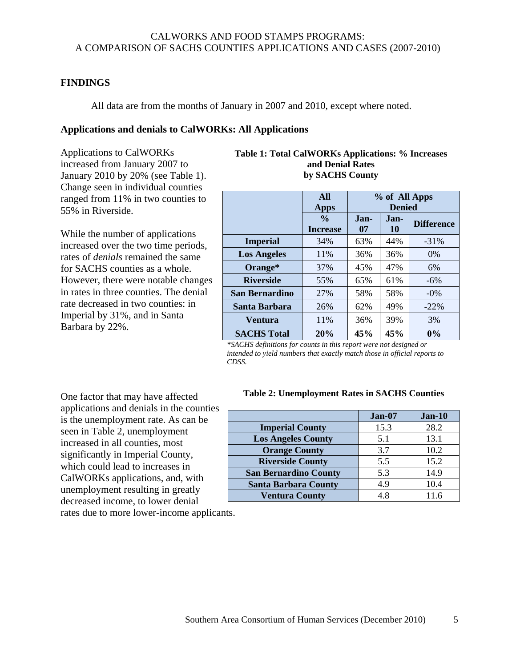## **FINDINGS**

All data are from the months of January in 2007 and 2010, except where noted.

#### **Applications and denials to CalWORKs: All Applications**

Applications to CalWORKs increased from January 2007 to January 2010 by 20% (see Table 1). Change seen in individual counties ranged from 11% in two counties to 55% in Riverside.

While the number of applications increased over the two time periods, rates of *denials* remained the same for SACHS counties as a whole. However, there were notable changes in rates in three counties. The denial rate decreased in two counties: in Imperial by 31%, and in Santa Barbara by 22%.

#### **Table 1: Total CalWORKs Applications: % Increases and Denial Rates by SACHS County**

|                       | All<br>Apps                      | % of All Apps<br><b>Denied</b><br>Jan-<br>Jan-<br><b>Difference</b><br>07<br>10 |     |         |
|-----------------------|----------------------------------|---------------------------------------------------------------------------------|-----|---------|
|                       | $\frac{0}{0}$<br><b>Increase</b> |                                                                                 |     |         |
| <b>Imperial</b>       | 34%                              | 63%                                                                             | 44% | $-31\%$ |
| <b>Los Angeles</b>    | 11%                              | 36%                                                                             | 36% | $0\%$   |
| Orange*               | 37%                              | 45%                                                                             | 47% | 6%      |
| <b>Riverside</b>      | 55%                              | 65%                                                                             | 61% | $-6\%$  |
| <b>San Bernardino</b> | 27%                              | 58%                                                                             | 58% | $-0\%$  |
| Santa Barbara         | 26%                              | 62%                                                                             | 49% | $-22%$  |
| Ventura               | 11%                              | 36%                                                                             | 39% | 3%      |
| <b>SACHS Total</b>    | 20%                              | 45%                                                                             | 45% | $0\%$   |

*\*SACHS definitions for counts in this report were not designed or intended to yield numbers that exactly match those in official reports to CDSS.*

#### **Table 2: Unemployment Rates in SACHS Counties**

One factor that may have affected applications and denials in the counties is the unemployment rate. As can be seen in Table 2, unemployment increased in all counties, most significantly in Imperial County, which could lead to increases in CalWORKs applications, and, with unemployment resulting in greatly decreased income, to lower denial

rates due to more lower-income applicants.

|                              | <b>Jan-07</b> | <b>Jan-10</b> |
|------------------------------|---------------|---------------|
| <b>Imperial County</b>       | 15.3          | 28.2          |
| <b>Los Angeles County</b>    | 5.1           | 13.1          |
| <b>Orange County</b>         | 3.7           | 10.2          |
| <b>Riverside County</b>      | 5.5           | 15.2          |
| <b>San Bernardino County</b> | 5.3           | 14.9          |
| <b>Santa Barbara County</b>  | 4.9           | 10.4          |
| <b>Ventura County</b>        | 48            | 11.6          |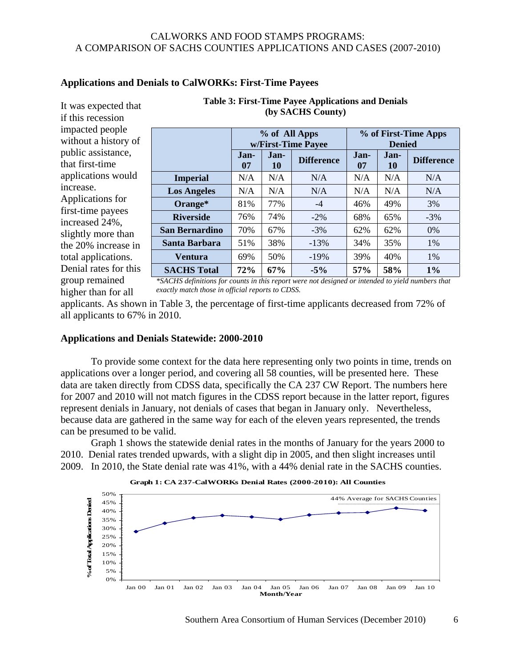| It was expected that                   |                                                                                                  |                    |               |                   |               |                      |                   |  |
|----------------------------------------|--------------------------------------------------------------------------------------------------|--------------------|---------------|-------------------|---------------|----------------------|-------------------|--|
| (by SACHS County)<br>if this recession |                                                                                                  |                    |               |                   |               |                      |                   |  |
| impacted people                        |                                                                                                  |                    | % of All Apps |                   |               | % of First-Time Apps |                   |  |
| without a history of                   |                                                                                                  | w/First-Time Payee |               |                   | <b>Denied</b> |                      |                   |  |
| public assistance,                     |                                                                                                  | Jan-               | Jan-          |                   | Jan-          | Jan-                 |                   |  |
| that first-time                        |                                                                                                  | 07                 | 10            | <b>Difference</b> | 07            | 10                   | <b>Difference</b> |  |
| applications would                     | <b>Imperial</b>                                                                                  | N/A                | N/A           | N/A               | N/A           | N/A                  | N/A               |  |
| increase.                              | <b>Los Angeles</b>                                                                               | N/A                | N/A           | N/A               | N/A           | N/A                  | N/A               |  |
| Applications for                       | Orange*                                                                                          | 81%                | 77%           | $-4$              | 46%           | 49%                  | 3%                |  |
| first-time payees<br>increased 24%,    | <b>Riverside</b>                                                                                 | 76%                | 74%           | $-2\%$            | 68%           | 65%                  | $-3\%$            |  |
| slightly more than                     | <b>San Bernardino</b>                                                                            | 70%                | 67%           | $-3\%$            | 62%           | 62%                  | 0%                |  |
| the 20% increase in                    | Santa Barbara                                                                                    | 51%                | 38%           | $-13%$            | 34%           | 35%                  | 1%                |  |
| total applications.                    | Ventura                                                                                          | 69%                | 50%           | $-19%$            | 39%           | 40%                  | 1%                |  |
| Denial rates for this                  | <b>SACHS Total</b>                                                                               | 72%                | 67%           | $-5%$             | 57%           | 58%                  | $1\%$             |  |
| group remained                         | *SACHS definitions for counts in this report were not designed or intended to yield numbers that |                    |               |                   |               |                      |                   |  |
| higher than for all                    | exactly match those in official reports to CDSS.                                                 |                    |               |                   |               |                      |                   |  |

## **Applications and Denials to CalWORKs: First-Time Payees**

It was expected that

**Table 3: First-Time Payee Applications and Denials** 

applicants. As shown in Table 3, the percentage of first-time applicants decreased from 72% of all applicants to 67% in 2010.

#### **Applications and Denials Statewide: 2000-2010**

To provide some context for the data here representing only two points in time, trends on applications over a longer period, and covering all 58 counties, will be presented here. These data are taken directly from CDSS data, specifically the CA 237 CW Report. The numbers here for 2007 and 2010 will not match figures in the CDSS report because in the latter report, figures represent denials in January, not denials of cases that began in January only. Nevertheless, because data are gathered in the same way for each of the eleven years represented, the trends can be presumed to be valid.

Graph 1 shows the statewide denial rates in the months of January for the years 2000 to 2010. Denial rates trended upwards, with a slight dip in 2005, and then slight increases until 2009. In 2010, the State denial rate was 41%, with a 44% denial rate in the SACHS counties.



#### **Graph 1: CA 237-CalWORKs Denial Rates (2000-2010): All Counties**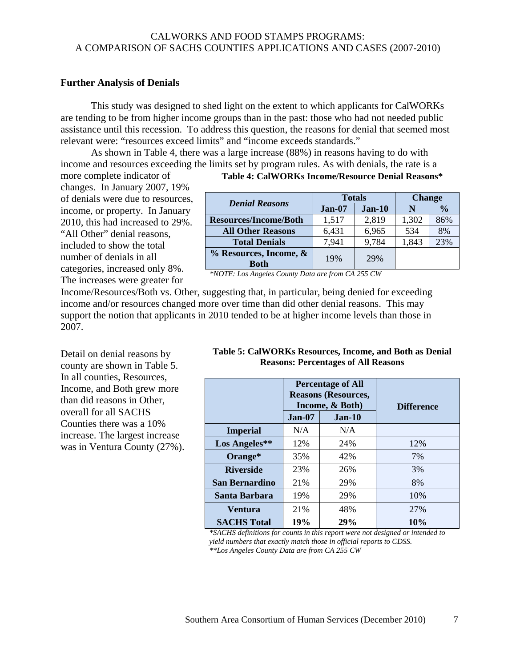## **Further Analysis of Denials**

This study was designed to shed light on the extent to which applicants for CalWORKs are tending to be from higher income groups than in the past: those who had not needed public assistance until this recession. To address this question, the reasons for denial that seemed most relevant were: "resources exceed limits" and "income exceeds standards."

As shown in Table 4, there was a large increase (88%) in reasons having to do with income and resources exceeding the limits set by program rules. As with denials, the rate is a more complete indicator of

changes. In January 2007, 19% of denials were due to resources, income, or property. In January 2010, this had increased to 29%. "All Other" denial reasons, included to show the total number of denials in all categories, increased only 8%. The increases were greater for

**Table 4: CalWORKs Income/Resource Denial Reasons\*** 

|                                       | <b>Totals</b> |          | <b>Change</b> |               |
|---------------------------------------|---------------|----------|---------------|---------------|
| <b>Denial Reasons</b>                 | Jan-07        | $Jan-10$ | N             | $\frac{1}{2}$ |
| <b>Resources/Income/Both</b>          | 1,517         | 2,819    | 1,302         | 86%           |
| <b>All Other Reasons</b>              | 6,431         | 6,965    | 534           | 8%            |
| <b>Total Denials</b>                  | 7,941         | 9,784    | 1,843         | 23%           |
| % Resources, Income, &<br><b>Both</b> | 19%           | 29%      |               |               |

*\*NOTE: Los Angeles County Data are from CA 255 CW* 

Income/Resources/Both vs. Other, suggesting that, in particular, being denied for exceeding income and/or resources changed more over time than did other denial reasons. This may support the notion that applicants in 2010 tended to be at higher income levels than those in 2007.

Detail on denial reasons by county are shown in Table 5. In all counties, Resources, Income, and Both grew more than did reasons in Other, overall for all SACHS Counties there was a 10% increase. The largest increase was in Ventura County (27%).

| Table 5: CalWORKs Resources, Income, and Both as Denial |
|---------------------------------------------------------|
| <b>Reasons: Percentages of All Reasons</b>              |

|                       |          | <b>Percentage of All</b><br><b>Reasons (Resources,</b><br>Income, & Both) | <b>Difference</b> |
|-----------------------|----------|---------------------------------------------------------------------------|-------------------|
|                       | $Jan-07$ | $Jan-10$                                                                  |                   |
| <b>Imperial</b>       | N/A      | N/A                                                                       |                   |
| Los Angeles**         | 12%      | 24%                                                                       | 12%               |
| Orange*               | 35%      | 42%                                                                       | 7%                |
| <b>Riverside</b>      | 23%      | 26%                                                                       | 3%                |
| <b>San Bernardino</b> | 21%      | 29%                                                                       | 8%                |
| Santa Barbara         | 19%      | 29%                                                                       | 10%               |
| <b>Ventura</b>        | 21%      | 48%                                                                       | 27%               |
| <b>SACHS Total</b>    | 19%      | 29%                                                                       | 10%               |

*\*SACHS definitions for counts in this report were not designed or intended to yield numbers that exactly match those in official reports to CDSS. \*\*Los Angeles County Data are from CA 255 CW*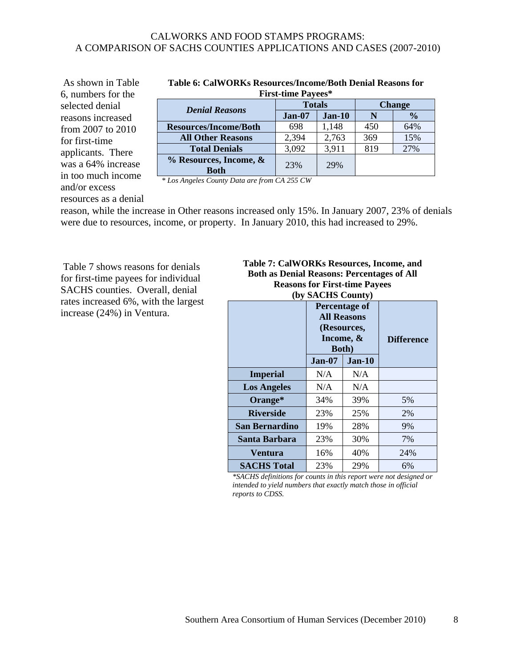As shown in Table 6, numbers for the selected denial reasons increased from 2007 to 2010 for first-time applicants. There was a 64% increase in too much income and/or excess resources as a denial

| <b>First-time Payees*</b>    |               |          |               |               |  |  |
|------------------------------|---------------|----------|---------------|---------------|--|--|
|                              | <b>Totals</b> |          | <b>Change</b> |               |  |  |
| <b>Denial Reasons</b>        | Jan-07        | $Jan-10$ | N             | $\frac{0}{0}$ |  |  |
| <b>Resources/Income/Both</b> | 698           | 1,148    | 450           | 64%           |  |  |
| <b>All Other Reasons</b>     | 2,394         | 2,763    | 369           | 15%           |  |  |
| <b>Total Denials</b>         | 3,092         | 3,911    | 819           | 27%           |  |  |
| % Resources, Income, &       | 23%           | 29%      |               |               |  |  |
| <b>Both</b>                  |               |          |               |               |  |  |

# **Table 6: CalWORKs Resources/Income/Both Denial Reasons for**

*\* Los Angeles County Data are from CA 255 CW*

reason, while the increase in Other reasons increased only 15%. In January 2007, 23% of denials were due to resources, income, or property. In January 2010, this had increased to 29%.

 Table 7 shows reasons for denials for first-time payees for individual SACHS counties. Overall, denial rates increased 6%, with the largest increase (24%) in Ventura.

# **Table 7: CalWORKs Resources, Income, and Both as Denial Reasons: Percentages of All Reasons for First-time Payees**

| (by SACHS County)     |            |                                                                                         |                   |  |  |  |
|-----------------------|------------|-----------------------------------------------------------------------------------------|-------------------|--|--|--|
|                       |            | <b>Percentage of</b><br><b>All Reasons</b><br>(Resources,<br>Income, &<br><b>Both</b> ) | <b>Difference</b> |  |  |  |
|                       | $Jan-07$   | $Jan-10$                                                                                |                   |  |  |  |
| <b>Imperial</b>       | N/A        | N/A                                                                                     |                   |  |  |  |
| <b>Los Angeles</b>    | N/A        | N/A                                                                                     |                   |  |  |  |
| Orange*               | 34%        | 39%                                                                                     | 5%                |  |  |  |
| <b>Riverside</b>      | 23%        | 25%                                                                                     | 2%                |  |  |  |
| <b>San Bernardino</b> | 19%<br>28% |                                                                                         | 9%                |  |  |  |
| Santa Barbara         | 23%        | 30%                                                                                     | 7%                |  |  |  |
| Ventura               | 16%        | 40%                                                                                     | 24%               |  |  |  |
| <b>SACHS Total</b>    | 23%        | 29%                                                                                     | 6%                |  |  |  |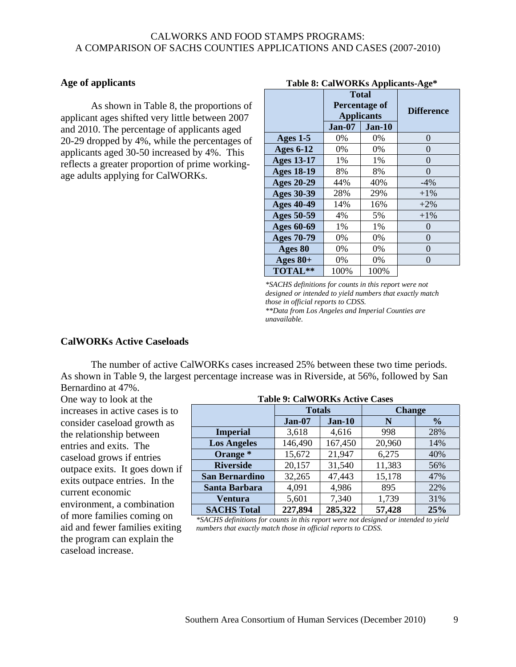## **Age of applicants**

As shown in Table 8, the proportions of applicant ages shifted very little between 2007 and 2010. The percentage of applicants aged 20-29 dropped by 4%, while the percentages of applicants aged 30-50 increased by 4%. This reflects a greater proportion of prime workingage adults applying for CalWORKs.

#### **Table 8: CalWORKs Applicants-Age\***

|                   |          | <b>Total</b><br>Percentage of<br><b>Applicants</b> | <b>Difference</b> |  |  |
|-------------------|----------|----------------------------------------------------|-------------------|--|--|
|                   | $Jan-07$ | $Jan-10$                                           |                   |  |  |
| Ages $1-5$        | 0%       | 0%                                                 | $\theta$          |  |  |
| <b>Ages 6-12</b>  | 0%       | 0%                                                 | 0                 |  |  |
| <b>Ages 13-17</b> | 1%       | 1%                                                 | 0                 |  |  |
| <b>Ages 18-19</b> | 8%       | 8%                                                 | 0                 |  |  |
| <b>Ages 20-29</b> | 44%      | 40%                                                | $-4\%$            |  |  |
| <b>Ages 30-39</b> | 28%      | 29%                                                | $+1\%$            |  |  |
| <b>Ages 40-49</b> | 14%      | 16%                                                | $+2\%$            |  |  |
| <b>Ages 50-59</b> | 4%       | 5%                                                 | $+1\%$            |  |  |
| <b>Ages 60-69</b> | 1%       | 1%                                                 | 0                 |  |  |
| <b>Ages 70-79</b> | 0%       | 0%                                                 | 0                 |  |  |
| Ages 80           | 0%       | 0%                                                 | 0                 |  |  |
| Ages $80+$        | $0\%$    | 0%                                                 | 0                 |  |  |
| TOTAL**           | 100%     | 100%                                               |                   |  |  |

*\*SACHS definitions for counts in this report were not designed or intended to yield numbers that exactly match those in official reports to CDSS. \*\*Data from Los Angeles and Imperial Counties are* 

*unavailable.* 

#### **CalWORKs Active Caseloads**

The number of active CalWORKs cases increased 25% between these two time periods. As shown in Table 9, the largest percentage increase was in Riverside, at 56%, followed by San Bernardino at 47%.

One way to look at the increases in active cases is to consider caseload growth as the relationship between entries and exits. The caseload grows if entries outpace exits. It goes down if exits outpace entries. In the current economic environment, a combination of more families coming on aid and fewer families exiting the program can explain the caseload increase.

| Table 9. Cal WORKS ACUVE Cases |                         |         |               |               |  |  |  |
|--------------------------------|-------------------------|---------|---------------|---------------|--|--|--|
|                                | <b>Totals</b>           |         | <b>Change</b> |               |  |  |  |
|                                | Jan-10<br><b>Jan-07</b> |         | N             | $\frac{6}{9}$ |  |  |  |
| <b>Imperial</b>                | 3,618                   | 4,616   | 998           | 28%           |  |  |  |
| <b>Los Angeles</b>             | 146,490                 | 167,450 | 20,960        | 14%           |  |  |  |
| Orange *                       | 15,672                  | 21,947  | 6,275         | 40%           |  |  |  |
| <b>Riverside</b>               | 20,157                  | 31,540  | 11,383        | 56%           |  |  |  |
| San Bernardino                 | 32,265                  | 47,443  | 15,178        | 47%           |  |  |  |
| Santa Barbara                  | 4,091                   | 4,986   | 895           | 22%           |  |  |  |
| Ventura                        | 5,601                   | 7,340   | 1,739         | 31%           |  |  |  |
| <b>SACHS Total</b>             | 227,894                 | 285,322 | 57,428        | 25%           |  |  |  |

#### **Table 9: CalWORKs Active Cases**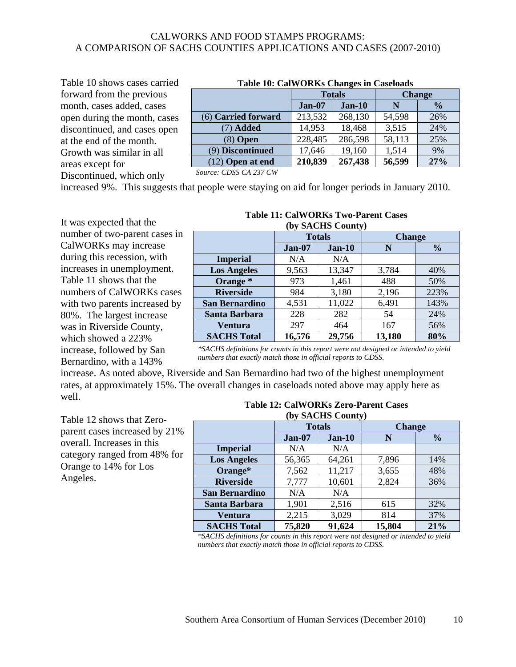Table 10 shows cases carried forward from the previous month, cases added, cases open during the month, cases discontinued, and cases open at the end of the month. Growth was similar in all areas except for Discontinued, which only

| <b>Table 10: CalWORKs Changes in Caseloads</b> |               |               |               |               |  |  |
|------------------------------------------------|---------------|---------------|---------------|---------------|--|--|
|                                                |               | <b>Totals</b> | <b>Change</b> |               |  |  |
|                                                | <b>Jan-07</b> | $Jan-10$      | N             | $\frac{0}{0}$ |  |  |
| (6) Carried forward                            | 213,532       | 268,130       | 54,598        | 26%           |  |  |
| $(7)$ Added                                    | 14,953        | 18,468        | 3,515         | 24%           |  |  |
| (8) <b>Open</b>                                | 228,485       | 286,598       | 58,113        | 25%           |  |  |
| (9) Discontinued                               | 17,646        | 19,160        | 1,514         | 9%            |  |  |
| $(12)$ Open at end                             | 210,839       | 267,438       | 56,599        | 27%           |  |  |
| Source: CDSS CA 237 CW                         |               |               |               |               |  |  |

increased 9%. This suggests that people were staying on aid for longer periods in January 2010.

It was expected that the number of two-parent cases in CalWORKs may increase during this recession, with increases in unemployment. Table 11 shows that the numbers of CalWORKs cases with two parents increased by 80%. The largest increase was in Riverside County, which showed a 223% increase, followed by San Bernardino, with a 143%

#### **Table 11: CalWORKs Two-Parent Cases (by SACHS County)**

|                       | <b>Totals</b>           | $\sim$ , $\sim$ | <b>Change</b> |               |  |
|-----------------------|-------------------------|-----------------|---------------|---------------|--|
|                       | Jan-10<br><b>Jan-07</b> |                 | N             | $\frac{1}{2}$ |  |
| <b>Imperial</b>       | N/A                     | N/A             |               |               |  |
| <b>Los Angeles</b>    | 9,563                   | 13,347          | 3,784         | 40%           |  |
| Orange *              | 973                     | 1,461           | 488           | 50%           |  |
| <b>Riverside</b>      | 984                     | 3,180           | 2,196         | 223%          |  |
| <b>San Bernardino</b> | 4,531                   | 11,022          | 6,491         | 143%          |  |
| Santa Barbara         | 228                     | 282             | 54            | 24%           |  |
| Ventura               | 297                     | 464             | 167           | 56%           |  |
| <b>SACHS Total</b>    | 16,576                  | 29,756          | 13,180        | 80%           |  |

*\*SACHS definitions for counts in this report were not designed or intended to yield numbers that exactly match those in official reports to CDSS.*

increase. As noted above, Riverside and San Bernardino had two of the highest unemployment rates, at approximately 15%. The overall changes in caseloads noted above may apply here as well.

Table 12 shows that Zeroparent cases increased by 21% overall. Increases in this category ranged from 48% for Orange to 14% for Los Angeles.

#### **Table 12: CalWORKs Zero-Parent Cases (by SACHS County)**

| $(v, v)$ bracked county, |               |             |               |               |  |  |
|--------------------------|---------------|-------------|---------------|---------------|--|--|
|                          | <b>Totals</b> |             | <b>Change</b> |               |  |  |
|                          | Jan-07        | Jan-10<br>N |               | $\frac{6}{9}$ |  |  |
| <b>Imperial</b>          | N/A           | N/A         |               |               |  |  |
| <b>Los Angeles</b>       | 56,365        | 64,261      | 7,896         | 14%           |  |  |
| Orange*                  | 7,562         | 11,217      | 3,655         | 48%           |  |  |
| <b>Riverside</b>         | 7,777         | 10,601      | 2,824         | 36%           |  |  |
| San Bernardino           | N/A           | N/A         |               |               |  |  |
| Santa Barbara            | 1,901         | 2,516       | 615           | 32%           |  |  |
| Ventura                  | 2,215         | 3,029       | 814           | 37%           |  |  |
| <b>SACHS Total</b>       | 75,820        | 91,624      | 15,804        | 21%           |  |  |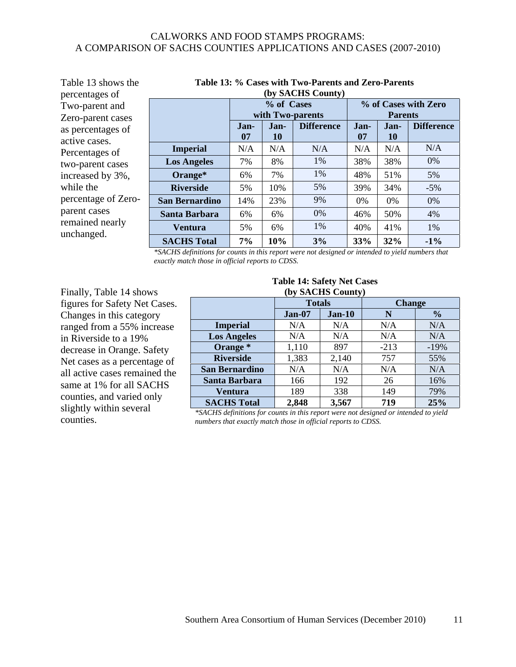Table 13 shows the percentages of Two-parent and Zero-parent cases as percentages of active cases. Percentages of two-parent cases increased by 3%, while the percentage of Zeroparent cases remained nearly unchanged.

#### **Table 13: % Cases with Two-Parents and Zero-Parents (by SACHS County)**

|                    | % of Cases |      |                   | % of Cases with Zero |                |                   |
|--------------------|------------|------|-------------------|----------------------|----------------|-------------------|
|                    |            |      | with Two-parents  |                      | <b>Parents</b> |                   |
|                    | Jan-       | Jan- | <b>Difference</b> | Jan-                 | Jan-           | <b>Difference</b> |
|                    | 07         | 10   |                   | 07                   | <b>10</b>      |                   |
| <b>Imperial</b>    | N/A        | N/A  | N/A               | N/A                  | N/A            | N/A               |
| <b>Los Angeles</b> | 7%         | 8%   | 1%                | 38%                  | 38%            | $0\%$             |
| Orange*            | 6%         | 7%   | 1%                | 48%                  | 51%            | 5%                |
| <b>Riverside</b>   | 5%         | 10%  | 5%                | 39%                  | 34%            | $-5%$             |
| San Bernardino     | 14%        | 23%  | 9%                | $0\%$                | $0\%$          | $0\%$             |
| Santa Barbara      | 6%         | 6%   | 0%                | 46%                  | 50%            | 4%                |
| Ventura            | 5%         | 6%   | 1%                | 40%                  | 41%            | 1%                |
| <b>SACHS Total</b> | 7%         | 10%  | 3%                | 33%                  | 32%            | $-1\%$            |

*\*SACHS definitions for counts in this report were not designed or intended to yield numbers that exactly match those in official reports to CDSS.*

Finally, Table 14 shows figures for Safety Net Cases. Changes in this category ranged from a 55% increase in Riverside to a 19% decrease in Orange. Safety Net cases as a percentage of all active cases remained the same at 1% for all SACHS counties, and varied only slightly within several counties.

#### **Table 14: Safety Net Cases (by SACHS County)**

| $(v)$ pacific county  |                                   |       |               |               |  |  |
|-----------------------|-----------------------------------|-------|---------------|---------------|--|--|
|                       | <b>Totals</b><br>Jan-10<br>Jan-07 |       | <b>Change</b> |               |  |  |
|                       |                                   |       | N             | $\frac{0}{0}$ |  |  |
| <b>Imperial</b>       | N/A                               | N/A   | N/A           | N/A           |  |  |
| <b>Los Angeles</b>    | N/A                               | N/A   | N/A           | N/A           |  |  |
| Orange *              | 1,110                             | 897   | $-213$        | $-19%$        |  |  |
| <b>Riverside</b>      | 1,383                             | 2,140 | 757           | 55%           |  |  |
| <b>San Bernardino</b> | N/A                               | N/A   | N/A           | N/A           |  |  |
| Santa Barbara         | 166                               | 192   | 26            | 16%           |  |  |
| Ventura               | 189                               | 338   | 149           | 79%           |  |  |
| <b>SACHS Total</b>    | 2,848                             | 3,567 | 719           | 25%           |  |  |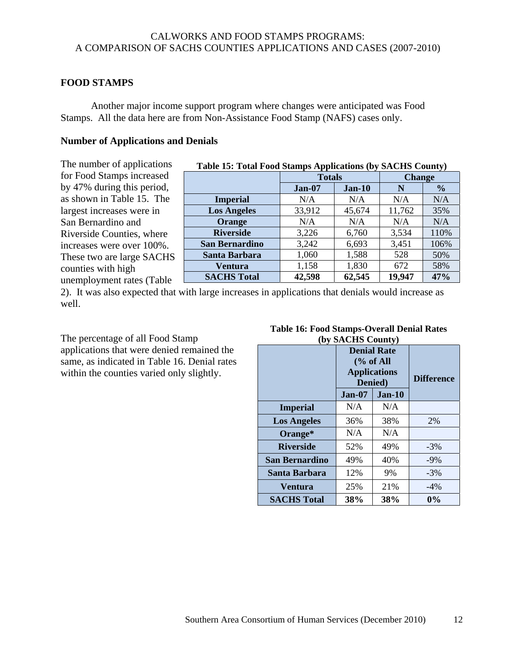## **FOOD STAMPS**

Another major income support program where changes were anticipated was Food Stamps. All the data here are from Non-Assistance Food Stamp (NAFS) cases only.

#### **Number of Applications and Denials**

The number of applications for Food Stamps increased by 47% during this period, as shown in Table 15. The largest increases were in San Bernardino and Riverside Counties, where increases were over 100%. These two are large SACHS counties with high unemployment rates (Table

| Table 15: Total Food Stamps Applications (by SACHS County) |               |        |               |               |  |
|------------------------------------------------------------|---------------|--------|---------------|---------------|--|
|                                                            | <b>Totals</b> |        | <b>Change</b> |               |  |
|                                                            | Jan-07        | Jan-10 | N             | $\frac{6}{9}$ |  |
| <b>Imperial</b>                                            | N/A           | N/A    | N/A           | N/A           |  |
| <b>Los Angeles</b>                                         | 33,912        | 45,674 | 11,762        | 35%           |  |
| Orange                                                     | N/A           | N/A    | N/A           | N/A           |  |
| <b>Riverside</b>                                           | 3,226         | 6,760  | 3,534         | 110%          |  |
| <b>San Bernardino</b>                                      | 3,242         | 6,693  | 3,451         | 106%          |  |
| Santa Barbara                                              | 1,060         | 1,588  | 528           | 50%           |  |
| Ventura                                                    | 1,158         | 1,830  | 672           | 58%           |  |
| <b>SACHS Total</b>                                         | 42,598        | 62,545 | 19,947        | 47%           |  |

2). It was also expected that with large increases in applications that denials would increase as well.

The percentage of all Food Stamp applications that were denied remained the same, as indicated in Table 16. Denial rates within the counties varied only slightly.

#### **Table 16: Food Stamps-Overall Denial Rates (by SACHS County)**

| ( <i>vy orverly county)</i> |                                                      |          |                   |  |  |  |
|-----------------------------|------------------------------------------------------|----------|-------------------|--|--|--|
|                             | <b>Denial Rate</b><br><b>Applications</b><br>Denied) | % of All | <b>Difference</b> |  |  |  |
|                             | <b>Jan-07</b>                                        | $Jan-10$ |                   |  |  |  |
| <b>Imperial</b>             | N/A                                                  | N/A      |                   |  |  |  |
| <b>Los Angeles</b>          | 36%                                                  | 38%      | 2%                |  |  |  |
| Orange*                     | N/A                                                  | N/A      |                   |  |  |  |
| <b>Riverside</b>            | 52%                                                  | 49%      | $-3%$             |  |  |  |
| San Bernardino              | 49%                                                  | 40%      | $-9\%$            |  |  |  |
| Santa Barbara               | 12%                                                  | 9%       | $-3\%$            |  |  |  |
| Ventura                     | 21%<br>25%                                           |          | $-4%$             |  |  |  |
| <b>SACHS Total</b>          | 38%                                                  | 38%      | $0\%$             |  |  |  |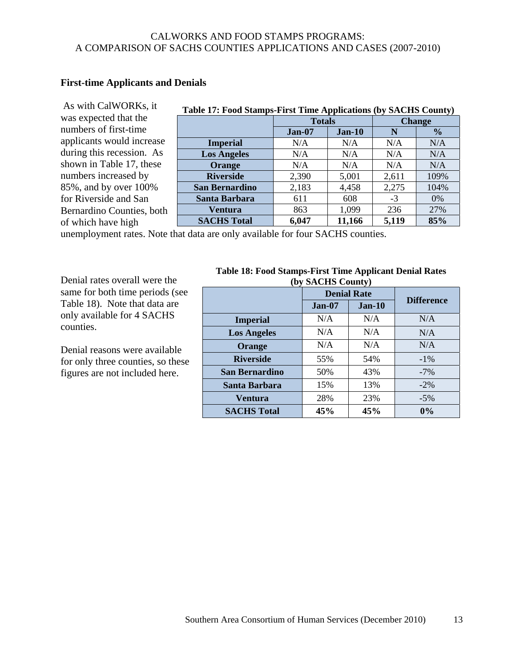# **First-time Applicants and Denials**

| As with CalWORKs, it      | Table 17: Food Stamps-First Time Applications (by SACHS County) |               |          |               |               |  |  |
|---------------------------|-----------------------------------------------------------------|---------------|----------|---------------|---------------|--|--|
| was expected that the     |                                                                 | <b>Totals</b> |          | <b>Change</b> |               |  |  |
| numbers of first-time     |                                                                 | $Jan-07$      | $Jan-10$ |               | $\frac{6}{9}$ |  |  |
| applicants would increase | <b>Imperial</b>                                                 | N/A           | N/A      | N/A           | N/A           |  |  |
| during this recession. As | <b>Los Angeles</b>                                              | N/A           | N/A      | N/A           | N/A           |  |  |
| shown in Table 17, these  | Orange                                                          | N/A           | N/A      | N/A           | N/A           |  |  |
| numbers increased by      | <b>Riverside</b>                                                | 2,390         | 5,001    | 2,611         | 109%          |  |  |
| 85%, and by over 100%     | San Bernardino                                                  | 2,183         | 4,458    | 2,275         | 104%          |  |  |
| for Riverside and San     | Santa Barbara                                                   | 611           | 608      | $-3$          | 0%            |  |  |
| Bernardino Counties, both | Ventura                                                         | 863           | 1,099    | 236           | 27%           |  |  |
| of which have high        | <b>SACHS Total</b>                                              | 6,047         | 11,166   | 5,119         | 85%           |  |  |

unemployment rates. Note that data are only available for four SACHS counties.

Denial rates overall were the same for both time periods (see Table 18). Note that data are only available for 4 SACHS counties.

Denial reasons were available for only three counties, so these figures are not included here.

## **Table 18: Food Stamps-First Time Applicant Denial Rates (by SACHS County)**

| ╰▔┙                |        | -.,,<br><b>Denial Rate</b> |                   |  |
|--------------------|--------|----------------------------|-------------------|--|
|                    | Jan-07 | Jan-10                     | <b>Difference</b> |  |
| <b>Imperial</b>    | N/A    | N/A                        | N/A               |  |
| <b>Los Angeles</b> | N/A    | N/A                        | N/A               |  |
| Orange             | N/A    | N/A                        | N/A               |  |
| <b>Riverside</b>   | 55%    | 54%                        | $-1%$             |  |
| San Bernardino     | 50%    | 43%                        | $-7%$             |  |
| Santa Barbara      | 15%    | 13%                        | $-2\%$            |  |
| Ventura            | 28%    | 23%                        | $-5%$             |  |
| <b>SACHS Total</b> | 45%    | 45%                        | 0%                |  |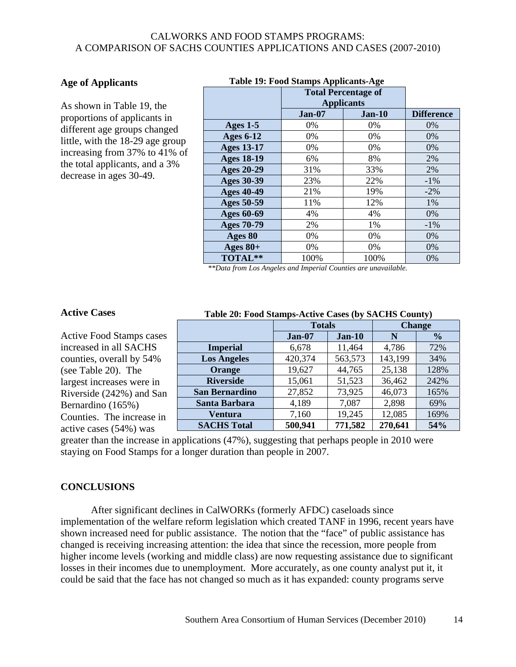## **Age of Applicants**

As shown in Table 19, the proportions of applicants in different age groups changed little, with the 18-29 age group increasing from 37% to 41% of the total applicants, and a 3% decrease in ages 30-49.

# **Table 19: Food Stamps Applicants-Age**

|                   | <b>Total Percentage of</b><br><b>Applicants</b> |               |                   |
|-------------------|-------------------------------------------------|---------------|-------------------|
|                   | <b>Jan-07</b>                                   | <b>Jan-10</b> | <b>Difference</b> |
| Ages $1-5$        | 0%                                              | 0%            | 0%                |
| <b>Ages 6-12</b>  | 0%                                              | 0%            | 0%                |
| <b>Ages 13-17</b> | 0%                                              | 0%            | 0%                |
| <b>Ages 18-19</b> | 6%                                              | 8%            | 2%                |
| <b>Ages 20-29</b> | 31%                                             | 33%           | 2%                |
| <b>Ages 30-39</b> | 23%                                             | 22%           | $-1%$             |
| <b>Ages 40-49</b> | 21%                                             | 19%           | $-2\%$            |
| Ages 50-59        | 11%                                             | 12%           | 1%                |
| Ages 60-69        | 4%                                              | 4%            | 0%                |
| <b>Ages 70-79</b> | 2%                                              | 1%            | $-1\%$            |
| Ages 80           | 0%                                              | 0%            | 0%                |
| Ages $80+$        | 0%                                              | 0%            | 0%                |
| TOTAL**           | 100%                                            | 100%          | 0%                |

*\*\*Data from Los Angeles and Imperial Counties are unavailable.* 

## **Active Cases**

Active Food Stamps cases increased in all SACHS counties, overall by 54% (see Table 20). The largest increases were in Riverside (242%) and San Bernardino (165%) Counties. The increase in active cases (54%) was

## **Table 20: Food Stamps-Active Cases (by SACHS County)**

|                    | <b>Totals</b> |          | <b>Change</b> |               |
|--------------------|---------------|----------|---------------|---------------|
|                    | Jan-07        | $Jan-10$ | N             | $\frac{6}{9}$ |
| <b>Imperial</b>    | 6,678         | 11,464   | 4,786         | 72%           |
| <b>Los Angeles</b> | 420,374       | 563,573  | 143,199       | 34%           |
| Orange             | 19,627        | 44,765   | 25,138        | 128%          |
| <b>Riverside</b>   | 15,061        | 51,523   | 36,462        | 242%          |
| San Bernardino     | 27,852        | 73,925   | 46,073        | 165%          |
| Santa Barbara      | 4,189         | 7,087    | 2,898         | 69%           |
| Ventura            | 7,160         | 19,245   | 12,085        | 169%          |
| <b>SACHS Total</b> | 500,941       | 771,582  | 270,641       | 54%           |

greater than the increase in applications (47%), suggesting that perhaps people in 2010 were staying on Food Stamps for a longer duration than people in 2007.

## **CONCLUSIONS**

After significant declines in CalWORKs (formerly AFDC) caseloads since implementation of the welfare reform legislation which created TANF in 1996, recent years have shown increased need for public assistance. The notion that the "face" of public assistance has changed is receiving increasing attention: the idea that since the recession, more people from higher income levels (working and middle class) are now requesting assistance due to significant losses in their incomes due to unemployment. More accurately, as one county analyst put it, it could be said that the face has not changed so much as it has expanded: county programs serve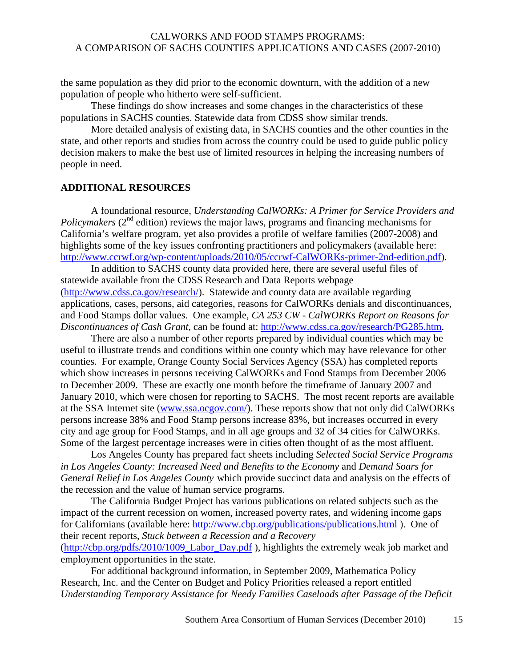the same population as they did prior to the economic downturn, with the addition of a new population of people who hitherto were self-sufficient.

These findings do show increases and some changes in the characteristics of these populations in SACHS counties. Statewide data from CDSS show similar trends.

More detailed analysis of existing data, in SACHS counties and the other counties in the state, and other reports and studies from across the country could be used to guide public policy decision makers to make the best use of limited resources in helping the increasing numbers of people in need.

## **ADDITIONAL RESOURCES**

A foundational resource, *Understanding CalWORKs: A Primer for Service Providers and Policymakers* (2<sup>nd</sup> edition) reviews the major laws, programs and financing mechanisms for California's welfare program, yet also provides a profile of welfare families (2007-2008) and highlights some of the key issues confronting practitioners and policymakers (available here: http://www.ccrwf.org/wp-content/uploads/2010/05/ccrwf-CalWORKs-primer-2nd-edition.pdf).

In addition to SACHS county data provided here, there are several useful files of statewide available from the CDSS Research and Data Reports webpage (http://www.cdss.ca.gov/research/). Statewide and county data are available regarding applications, cases, persons, aid categories, reasons for CalWORKs denials and discontinuances, and Food Stamps dollar values. One example, *CA 253 CW - CalWORKs Report on Reasons for Discontinuances of Cash Grant*, can be found at: http://www.cdss.ca.gov/research/PG285.htm.

There are also a number of other reports prepared by individual counties which may be useful to illustrate trends and conditions within one county which may have relevance for other counties. For example, Orange County Social Services Agency (SSA) has completed reports which show increases in persons receiving CalWORKs and Food Stamps from December 2006 to December 2009. These are exactly one month before the timeframe of January 2007 and January 2010, which were chosen for reporting to SACHS. The most recent reports are available at the SSA Internet site (www.ssa.ocgov.com/). These reports show that not only did CalWORKs persons increase 38% and Food Stamp persons increase 83%, but increases occurred in every city and age group for Food Stamps, and in all age groups and 32 of 34 cities for CalWORKs. Some of the largest percentage increases were in cities often thought of as the most affluent.

Los Angeles County has prepared fact sheets including *Selected Social Service Programs in Los Angeles County: Increased Need and Benefits to the Economy* and *Demand Soars for General Relief in Los Angeles County* which provide succinct data and analysis on the effects of the recession and the value of human service programs.

The California Budget Project has various publications on related subjects such as the impact of the current recession on women, increased poverty rates, and widening income gaps for Californians (available here: http://www.cbp.org/publications/publications.html ). One of their recent reports, *Stuck between a Recession and a Recovery*  $(\text{http://cbp.org/pdfs/2010/1009}$  Labor Day.pdf), highlights the extremely weak job market and employment opportunities in the state.

For additional background information, in September 2009, Mathematica Policy Research, Inc. and the Center on Budget and Policy Priorities released a report entitled *Understanding Temporary Assistance for Needy Families Caseloads after Passage of the Deficit*